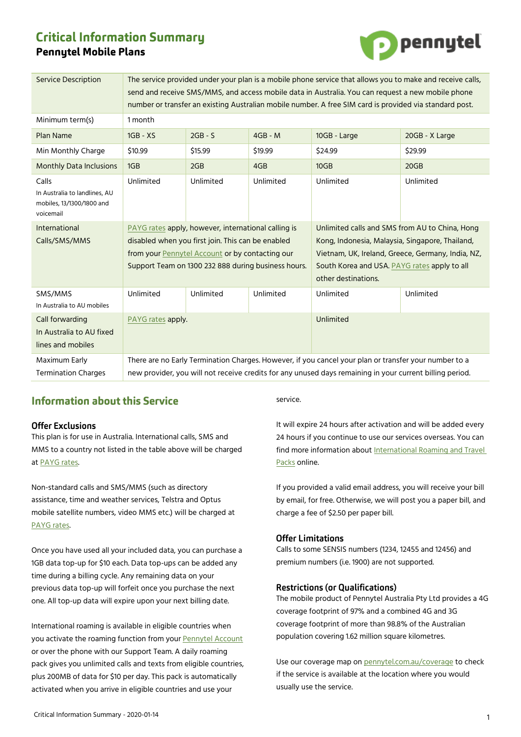# **Critical Information Summary Pennytel Mobile Plans**



| <b>Service Description</b>                                                       | The service provided under your plan is a mobile phone service that allows you to make and receive calls,<br>send and receive SMS/MMS, and access mobile data in Australia. You can request a new mobile phone<br>number or transfer an existing Australian mobile number. A free SIM card is provided via standard post. |           |           |                                                                                                                                                                                                                               |                |
|----------------------------------------------------------------------------------|---------------------------------------------------------------------------------------------------------------------------------------------------------------------------------------------------------------------------------------------------------------------------------------------------------------------------|-----------|-----------|-------------------------------------------------------------------------------------------------------------------------------------------------------------------------------------------------------------------------------|----------------|
| Minimum term(s)                                                                  | 1 month                                                                                                                                                                                                                                                                                                                   |           |           |                                                                                                                                                                                                                               |                |
| <b>Plan Name</b>                                                                 | $1GB - XS$                                                                                                                                                                                                                                                                                                                | $2GB - S$ | $4GB - M$ | 10GB - Large                                                                                                                                                                                                                  | 20GB - X Large |
| Min Monthly Charge                                                               | \$10.99                                                                                                                                                                                                                                                                                                                   | \$15.99   | \$19.99   | \$24.99                                                                                                                                                                                                                       | \$29.99        |
| <b>Monthly Data Inclusions</b>                                                   | 1GB                                                                                                                                                                                                                                                                                                                       | 2GB       | 4GB       | 10GB                                                                                                                                                                                                                          | 20GB           |
| Calls<br>In Australia to landlines, AU<br>mobiles, 13/1300/1800 and<br>voicemail | Unlimited                                                                                                                                                                                                                                                                                                                 | Unlimited | Unlimited | Unlimited                                                                                                                                                                                                                     | Unlimited      |
| International<br>Calls/SMS/MMS                                                   | PAYG rates apply, however, international calling is<br>disabled when you first join. This can be enabled<br>from your Pennytel Account or by contacting our<br>Support Team on 1300 232 888 during business hours.                                                                                                        |           |           | Unlimited calls and SMS from AU to China, Hong<br>Kong, Indonesia, Malaysia, Singapore, Thailand,<br>Vietnam, UK, Ireland, Greece, Germany, India, NZ,<br>South Korea and USA. PAYG rates apply to all<br>other destinations. |                |
| SMS/MMS<br>In Australia to AU mobiles                                            | Unlimited                                                                                                                                                                                                                                                                                                                 | Unlimited | Unlimited | Unlimited                                                                                                                                                                                                                     | Unlimited      |
| Call forwarding<br>In Australia to AU fixed<br>lines and mobiles                 | PAYG rates apply.                                                                                                                                                                                                                                                                                                         |           |           | Unlimited                                                                                                                                                                                                                     |                |
| Maximum Early<br><b>Termination Charges</b>                                      | There are no Early Termination Charges. However, if you cancel your plan or transfer your number to a<br>new provider, you will not receive credits for any unused days remaining in your current billing period.                                                                                                         |           |           |                                                                                                                                                                                                                               |                |

## **Information about this Service**

## **Offer Exclusions**

This plan is for use in Australia. International calls, SMS and MMS to a country not listed in the table above will be charged at [PAYG rates.](https://mnf.app.box.com/v/pt-payg-rates) 

Non-standard calls and SMS/MMS (such as directory assistance, time and weather services, Telstra and Optus mobile satellite numbers, video MMS etc.) will be charged at [PAYG rates.](https://mnf.box.com/v/pt-payg-rates) 

Once you have used all your included data, you can purchase a 1GB data top-up for \$10 each. Data top-ups can be added any time during a billing cycle. Any remaining data on your previous data top-up will forfeit once you purchase the next one. All top-up data will expire upon your next billing date.

International roaming is available in eligible countries when you activate the roaming function from your [Pennytel Account](https://account.pennytel.com.au/my-services) or over the phone with our Support Team. A daily roaming pack gives you unlimited calls and texts from eligible countries, plus 200MB of data for \$10 per day. This pack is automatically activated when you arrive in eligible countries and use your

service.

It will expire 24 hours after activation and will be added every 24 hours if you continue to use our services overseas. You can find more information abou[t International Roaming and Travel](https://mnf.box.com/v/pt-roaming-pack)  [Packs](https://mnf.box.com/v/pt-roaming-pack) online.

If you provided a valid email address, you will receive your bill by email, for free. Otherwise, we will post you a paper bill, and charge a fee of \$2.50 per paper bill.

## **Offer Limitations**

Calls to some SENSIS numbers (1234, 12455 and 12456) and premium numbers (i.e. 1900) are not supported.

#### **Restrictions (or Qualifications)**

The mobile product of Pennytel Australia Pty Ltd provides a 4G coverage footprint of 97% and a combined 4G and 3G coverage footprint of more than 98.8% of the Australian population covering 1.62 million square kilometres.

Use our coverage map on [pennytel.com.au/coverage](https://pennytel.com.au/coverage) to check if the service is available at the location where you would usually use the service.